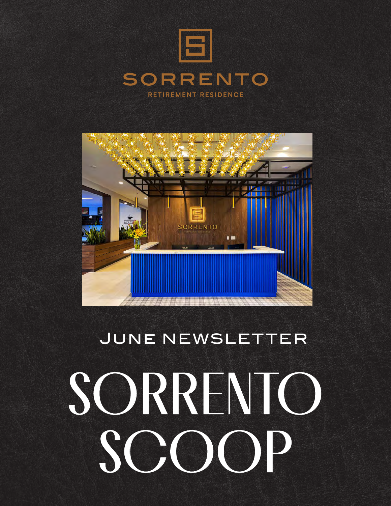



### JUNE NEWSLETTER

## SORRENTO SCIO  $\begin{pmatrix} \phantom{-} \end{pmatrix}$  $\mathbf{D}$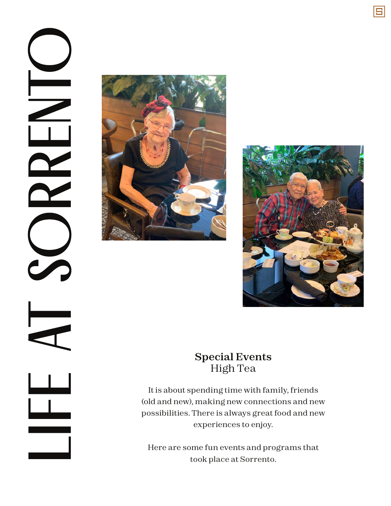



#### **Special Events** High Tea

It is about spending time with family, friends (old and new), making new connections and new possibilities. There is always great food and new experiences to enjoy.

Here are some fun events and programs that took place at Sorrento.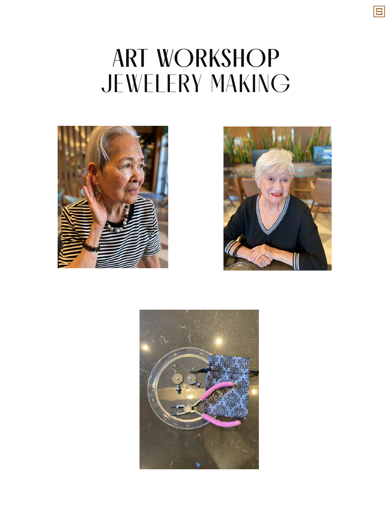### ART WORKSHOP JEWELERY MAKING





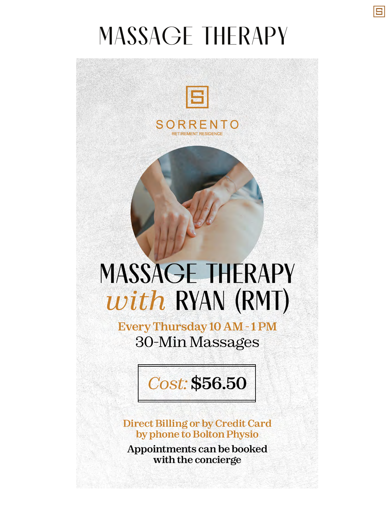## MASSAGE THERAPY



## **MASSAGE THERAPY** with RYAN (RMT)

Every Thursday 10 AM - 1 PM 30-Min Massages

Cost: \$56.50

**Direct Billing or by Credit Card** by phone to Bolton Physio

Appointments can be booked with the concierge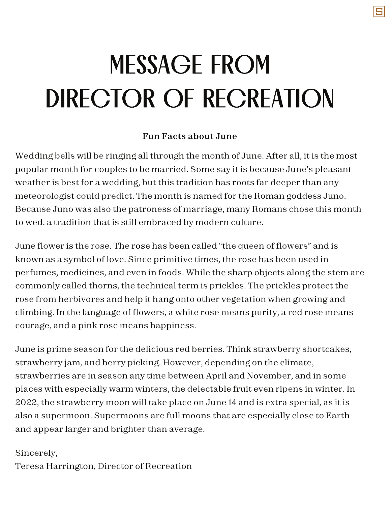# MESSAGE FROM DIRECTOR OF RECREATION

#### **Fun Facts about June**

Wedding bells will be ringing all through the month of June. After all, it is the most popular month for couples to be married. Some say it is because June's pleasant weather is best for a wedding, but this tradition has roots far deeper than any meteorologist could predict. The month is named for the Roman goddess Juno. Because Juno was also the patroness of marriage, many Romans chose this month to wed, a tradition that is still embraced by modern culture.

June flower is the rose. The rose has been called "the queen of flowers" and is known as a symbol of love. Since primitive times, the rose has been used in perfumes, medicines, and even in foods. While the sharp objects along the stem are commonly called thorns, the technical term is prickles. The prickles protect the rose from herbivores and help it hang onto other vegetation when growing and climbing. In the language of flowers, a white rose means purity, a red rose means courage, and a pink rose means happiness.

June is prime season for the delicious red berries. Think strawberry shortcakes, strawberry jam, and berry picking. However, depending on the climate, strawberries are in season any time between April and November, and in some places with especially warm winters, the delectable fruit even ripens in winter. In 2022, the strawberry moon will take place on June 14 and is extra special, as it is also a supermoon. Supermoons are full moons that are especially close to Earth and appear larger and brighter than average.

#### Sincerely,

Teresa Harrington, Director of Recreation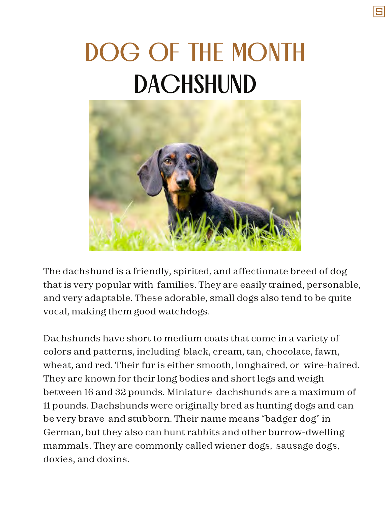# DOG OF THE MONTH DACHSHUND



The dachshund is a friendly, spirited, and affectionate breed of dog that is very popular with families. They are easily trained, personable, and very adaptable. These adorable, small dogs also tend to be quite vocal, making them good watchdogs.

Dachshunds have short to medium coats that come in a variety of colors and patterns, including black, cream, tan, chocolate, fawn, wheat, and red. Their fur is either smooth, longhaired, or wire-haired. They are known for their long bodies and short legs and weigh between 16 and 32 pounds. Miniature dachshunds are a maximum of 11 pounds. Dachshunds were originally bred as hunting dogs and can be very brave and stubborn. Their name means "badger dog" in German, but they also can hunt rabbits and other burrow-dwelling mammals. They are commonly called wiener dogs, sausage dogs, doxies, and doxins.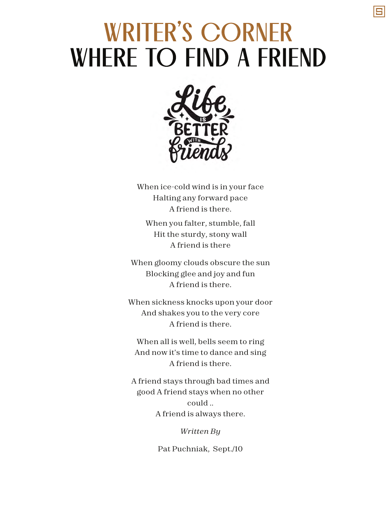### WRITER'S CORNER WHERE TO FIND A FRIEND



When ice-cold wind is in your face Halting any forward pace A friend is there. When you falter, stumble, fall

Hit the sturdy, stony wall A friend is there

When gloomy clouds obscure the sun Blocking glee and joy and fun A friend is there.

When sickness knocks upon your door And shakes you to the very core A friend is there.

When all is well, bells seem to ring And now it's time to dance and sing A friend is there.

A friend stays through bad times and good A friend stays when no other could .. A friend is always there.

*Written By*

Pat Puchniak, Sept./10